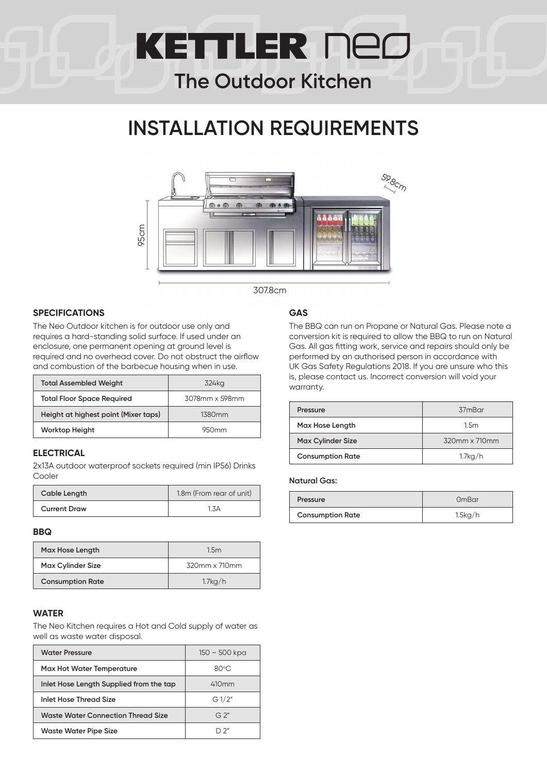# **KETTLER NED**

### **The Outdoor Kitchen**

### **INSTALLATION REQUIREMENTS**



307.8cm

#### **SPECIFICATIONS**

The Neo Outdoor kitchen is for outdoor use only and requires a hard-standing solid surface. If used under an enclosure, one permanent opening at ground level is required and no overhead cover. Do not obstruct the airflow and combustion of the barbecue housing when in use.

| <b>Total Assembled Weight</b>        | 324kg              |
|--------------------------------------|--------------------|
| <b>Total Floor Space Required</b>    | 3078mm x 598mm     |
| Height at highest point (Mixer taps) | 1380 <sub>mm</sub> |
| <b>Worktop Height</b>                | 950mm              |

#### **ELECTRICAL**

2x13A outdoor waterproof sockets required (min IP56) Drinks Cooler

| Cable Length        | 1.8m (From rear of unit) |
|---------------------|--------------------------|
| <b>Current Draw</b> | 1.3A                     |

#### **BBQ**

| Max Hose Length          | 1.5m          |
|--------------------------|---------------|
| <b>Max Cylinder Size</b> | 320mm x 710mm |
| <b>Consumption Rate</b>  | 1.7kg/h       |

#### **WATER**

The Neo Kitchen requires a Hot and Cold supply of water as well as waste water disposal.

| <b>Water Pressure</b>                     | 150 – 500 kpa  |
|-------------------------------------------|----------------|
| <b>Max Hot Water Temperature</b>          | $80^{\circ}$ C |
| Inlet Hose Length Supplied from the tap   | 410mm          |
| Inlet Hose Thread Size                    | G1/2"          |
| <b>Waste Water Connection Thread Size</b> | $G^{\prime}$   |
| Waste Water Pipe Size                     | "כ רו          |

#### **GAS**

The BBQ can run on Propane or Natural Gas. Please note a conversion kit is required to allow the BBQ to run on Natural Gas. All gas fitting work, service and repairs should only be performed by an authorised person in accordance with UK Gas Safety Regulations 2018. If you are unsure who this is, please contact us. Incorrect conversion will void your warranty.

| Pressure                 | 37mBar        |
|--------------------------|---------------|
| Max Hose Length          | 1.5m          |
| <b>Max Cylinder Size</b> | 320mm x 710mm |
| <b>Consumption Rate</b>  | $1.7$ kg/h    |

#### **Natural Gas:**

| Pressure                | OmBar   |
|-------------------------|---------|
| <b>Consumption Rate</b> | 1.5kg/h |